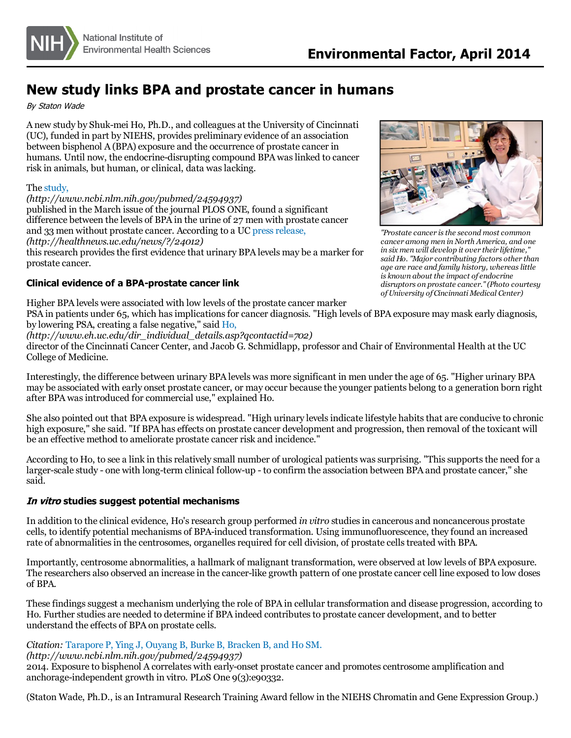

# **New study links BPA and prostate cancer in humans**

By Staton Wade

A new study by Shuk-mei Ho, Ph.D., and colleagues at the University of Cincinnati (UC), funded in part by NIEHS, provides preliminary evidence of an association between bisphenol A (BPA) exposure and the occurrence of prostate cancer in humans. Until now, the endocrine-disrupting compound BPA waslinked to cancer risk in animals, but human, or clinical, data was lacking.

#### The [study,](http://www.ncbi.nlm.nih.gov/pubmed/24594937)

*(http://www.ncbi.nlm.nih.gov/pubmed/24594937)* published in the March issue of the journal PLOS ONE, found a significant difference between the levels of BPA in the urine of 27 men with prostate cancer and 33 men without prostate cancer. According to a UC press release, *(http://healthnews.uc.edu/news/?/24012)* this research provides the first evidence that urinary BPA levels may be a marker for

prostate cancer.

### **Clinical evidence of a BPA-prostate cancer link**

*in six men will develop it over their lifetime," said Ho. "Major contributing factors other than age are race and family history, whereaslittle is known about the impact of endocrine disruptors on prostate cancer."(Photo courtesy ofUniversity of Cincinnati Medical Center)*

Higher BPA levels were associated with low levels of the prostate cancer marker PSA in patients under 65, which has implications for cancer diagnosis. "High levels of BPA exposure may mask early diagnosis, by lowering PSA, creating a false negative," said [Ho,](http://www.eh.uc.edu/dir_individual_details.asp?qcontactid=702)

*(http://www.eh.uc.edu/dir\_individual\_details.asp?qcontactid=702)*

director of the Cincinnati Cancer Center, and Jacob G. Schmidlapp, professor and Chair of Environmental Health at the UC College of Medicine.

Interestingly, the difference between urinary BPA levels was more significant in men under the age of 65. "Higher urinary BPA may be associated with early onset prostate cancer, or may occur because the younger patients belong to a generation born right after BPA was introduced for commercial use," explained Ho.

She also pointed out that BPA exposure is widespread. "High urinary levelsindicate lifestyle habitsthat are conducive to chronic high exposure," she said. "If BPA has effects on prostate cancer development and progression, then removal of the toxicant will be an effective method to ameliorate prostate cancer risk and incidence."

According to Ho, to see a link in this relatively small number of urological patients was surprising. "This supports the need for a larger-scale study - one with long-term clinical follow-up - to confirm the association between BPA and prostate cancer," she said.

### **In vitro studies suggest potential mechanisms**

In addition to the clinical evidence, Ho's research group performed *in vitro* studies in cancerous and noncancerous prostate cells, to identify potential mechanisms of BPA-induced transformation. Using immunofluorescence, they found an increased rate of abnormalities in the centrosomes, organelles required for cell division, of prostate cells treated with BPA.

Importantly, centrosome abnormalities, a hallmark of malignant transformation, were observed at low levels of BPA exposure. The researchers also observed an increase in the cancer-like growth pattern of one prostate cancercell line exposed to low doses of BPA.

These findings suggest a mechanism underlying the role of BPA in cellular transformation and disease progression, according to Ho. Further studies are needed to determine if BPA indeed contributes to prostate cancer development, and to better understand the effects of BPA on prostate cells.

## *Citation:* [Tarapore](http://www.ncbi.nlm.nih.gov/pubmed/24594937) P, Ying J, Ouyang B, Burke B, Bracken B, and Ho SM.

*(http://www.ncbi.nlm.nih.gov/pubmed/24594937)*

2014. Exposure to bisphenol A correlates with early-onset prostate cancer and promotescentrosome amplification and anchorage-independent growth in vitro. PLoS One 9(3):e90332.

(Staton Wade, Ph.D., is an Intramural Research Training Award fellow in the NIEHS Chromatin and Gene Expression Group.)



*"Prostate cancer isthe second mostcommon cancer among men in North America, and one*